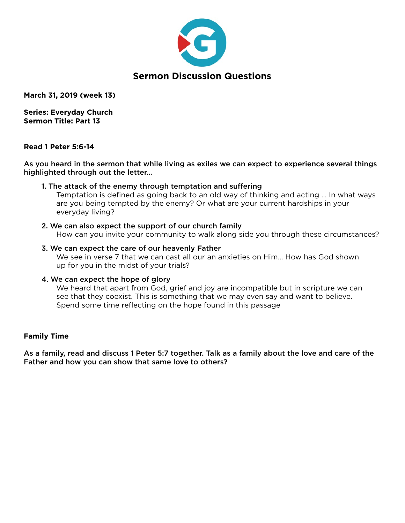

**March 31, 2019 (week 13)** 

**Series: Everyday Church Sermon Title: Part 13** 

#### **Read 1 Peter 5:6-14**

As you heard in the sermon that while living as exiles we can expect to experience several things highlighted through out the letter…

#### 1. The attack of the enemy through temptation and suffering

 Temptation is defined as going back to an old way of thinking and acting … In what ways are you being tempted by the enemy? Or what are your current hardships in your everyday living?

#### 2. We can also expect the support of our church family

How can you invite your community to walk along side you through these circumstances?

#### 3. We can expect the care of our heavenly Father

 We see in verse 7 that we can cast all our an anxieties on Him… How has God shown up for you in the midst of your trials?

#### 4. We can expect the hope of glory

 We heard that apart from God, grief and joy are incompatible but in scripture we can see that they coexist. This is something that we may even say and want to believe. Spend some time reflecting on the hope found in this passage

### **Family Time**

As a family, read and discuss 1 Peter 5:7 together. Talk as a family about the love and care of the Father and how you can show that same love to others?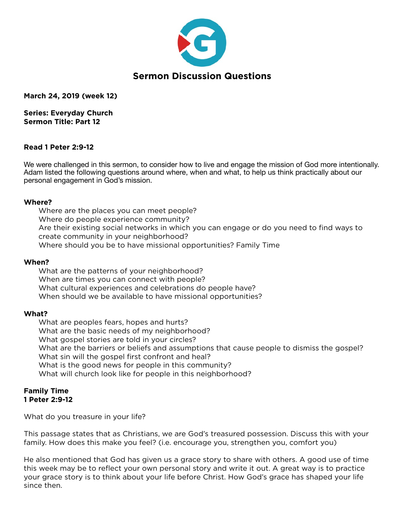

**March 24, 2019 (week 12)** 

**Series: Everyday Church Sermon Title: Part 12** 

### **Read 1 Peter 2:9-12**

We were challenged in this sermon, to consider how to live and engage the mission of God more intentionally. Adam listed the following questions around where, when and what, to help us think practically about our personal engagement in God's mission.

#### **Where?**

Where are the places you can meet people? Where do people experience community? Are their existing social networks in which you can engage or do you need to find ways to create community in your neighborhood? Where should you be to have missional opportunities? Family Time

#### **When?**

What are the patterns of your neighborhood? When are times you can connect with people? What cultural experiences and celebrations do people have? When should we be available to have missional opportunities?

#### **What?**

What are peoples fears, hopes and hurts? What are the basic needs of my neighborhood? What gospel stories are told in your circles? What are the barriers or beliefs and assumptions that cause people to dismiss the gospel? What sin will the gospel first confront and heal? What is the good news for people in this community? What will church look like for people in this neighborhood?

#### **Family Time 1 Peter 2:9-12**

What do you treasure in your life?

This passage states that as Christians, we are God's treasured possession. Discuss this with your family. How does this make you feel? (i.e. encourage you, strengthen you, comfort you)

He also mentioned that God has given us a grace story to share with others. A good use of time this week may be to reflect your own personal story and write it out. A great way is to practice your grace story is to think about your life before Christ. How God's grace has shaped your life since then.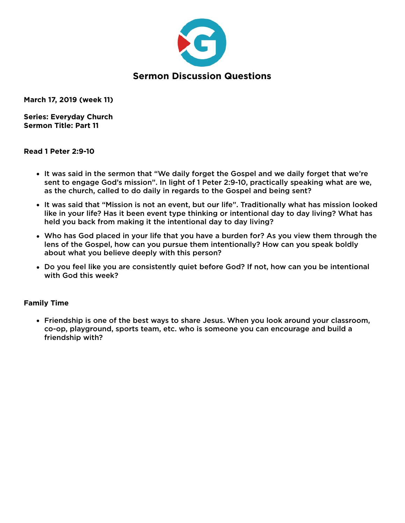

**March 17, 2019 (week 11)** 

**Series: Everyday Church Sermon Title: Part 11** 

### **Read 1 Peter 2:9-10**

- It was said in the sermon that "We daily forget the Gospel and we daily forget that we're sent to engage God's mission". In light of 1 Peter 2:9-10, practically speaking what are we, as the church, called to do daily in regards to the Gospel and being sent?
- It was said that "Mission is not an event, but our life". Traditionally what has mission looked like in your life? Has it been event type thinking or intentional day to day living? What has held you back from making it the intentional day to day living?
- Who has God placed in your life that you have a burden for? As you view them through the lens of the Gospel, how can you pursue them intentionally? How can you speak boldly about what you believe deeply with this person?
- Do you feel like you are consistently quiet before God? If not, how can you be intentional with God this week?

### **Family Time**

• Friendship is one of the best ways to share Jesus. When you look around your classroom, co-op, playground, sports team, etc. who is someone you can encourage and build a friendship with?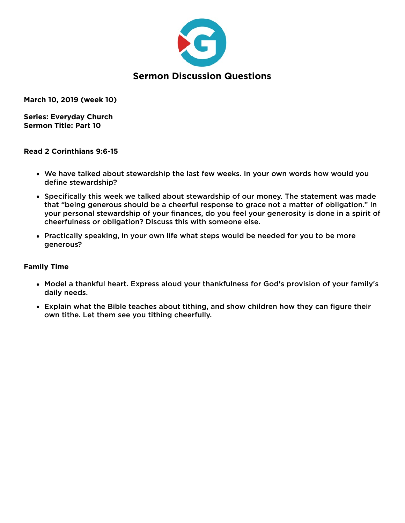

**March 10, 2019 (week 10)** 

**Series: Everyday Church Sermon Title: Part 10** 

#### **Read 2 Corinthians 9:6-15**

- We have talked about stewardship the last few weeks. In your own words how would you define stewardship?
- Specifically this week we talked about stewardship of our money. The statement was made that "being generous should be a cheerful response to grace not a matter of obligation." In your personal stewardship of your finances, do you feel your generosity is done in a spirit of cheerfulness or obligation? Discuss this with someone else.
- Practically speaking, in your own life what steps would be needed for you to be more generous?

- Model a thankful heart. Express aloud your thankfulness for God's provision of your family's daily needs.
- Explain what the Bible teaches about tithing, and show children how they can figure their own tithe. Let them see you tithing cheerfully.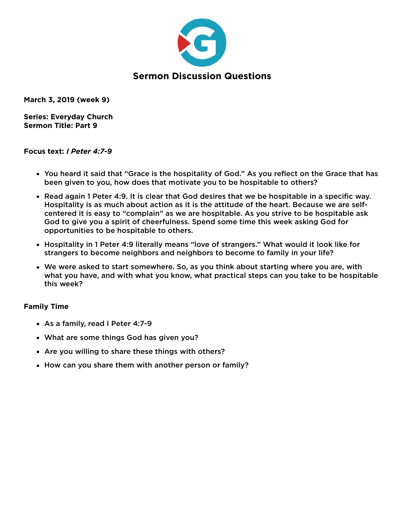

**March 3, 2019 (week 9)** 

**Series: Everyday Church Sermon Title: Part 9** 

## **Focus text:** *I Peter 4:7-9*

- You heard it said that "Grace is the hospitality of God." As you reflect on the Grace that has been given to you, how does that motivate you to be hospitable to others?
- Read again 1 Peter 4:9. It is clear that God desires that we be hospitable in a specific way. Hospitality is as much about action as it is the attitude of the heart. Because we are selfcentered it is easy to "complain" as we are hospitable. As you strive to be hospitable ask God to give you a spirit of cheerfulness. Spend some time this week asking God for opportunities to be hospitable to others.
- Hospitality in 1 Peter 4:9 literally means "love of strangers." What would it look like for strangers to become neighbors and neighbors to become to family in your life?
- We were asked to start somewhere. So, as you think about starting where you are, with what you have, and with what you know, what practical steps can you take to be hospitable this week?

- As a family, read I Peter 4:7-9
- What are some things God has given you?
- Are you willing to share these things with others?
- How can you share them with another person or family?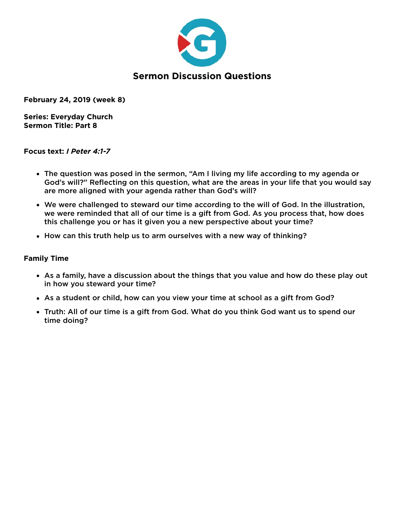

**February 24, 2019 (week 8)** 

**Series: Everyday Church Sermon Title: Part 8** 

## **Focus text:** *I Peter 4:1-7*

- The question was posed in the sermon, "Am I living my life according to my agenda or God's will?" Reflecting on this question, what are the areas in your life that you would say are more aligned with your agenda rather than God's will?
- We were challenged to steward our time according to the will of God. In the illustration, we were reminded that all of our time is a gift from God. As you process that, how does this challenge you or has it given you a new perspective about your time?
- How can this truth help us to arm ourselves with a new way of thinking?

- As a family, have a discussion about the things that you value and how do these play out in how you steward your time?
- As a student or child, how can you view your time at school as a gift from God?
- Truth: All of our time is a gift from God. What do you think God want us to spend our time doing?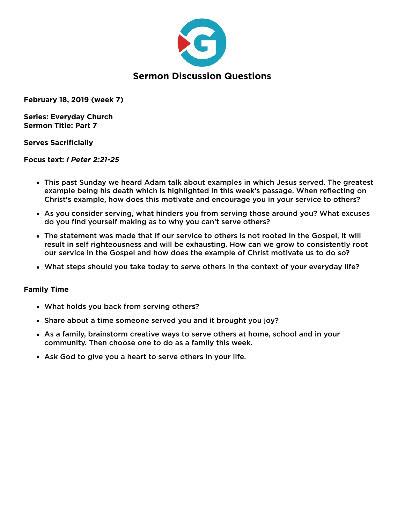

**February 18, 2019 (week 7)** 

**Series: Everyday Church Sermon Title: Part 7** 

## **Serves Sacrificially**

### **Focus text:** *I Peter 2:21-25*

- This past Sunday we heard Adam talk about examples in which Jesus served. The greatest example being his death which is highlighted in this week's passage. When reflecting on Christ's example, how does this motivate and encourage you in your service to others?
- As you consider serving, what hinders you from serving those around you? What excuses do you find yourself making as to why you can't serve others?
- The statement was made that if our service to others is not rooted in the Gospel, it will result in self righteousness and will be exhausting. How can we grow to consistently root our service in the Gospel and how does the example of Christ motivate us to do so?
- What steps should you take today to serve others in the context of your everyday life?

- What holds you back from serving others?
- Share about a time someone served you and it brought you joy?
- As a family, brainstorm creative ways to serve others at home, school and in your community. Then choose one to do as a family this week.
- Ask God to give you a heart to serve others in your life.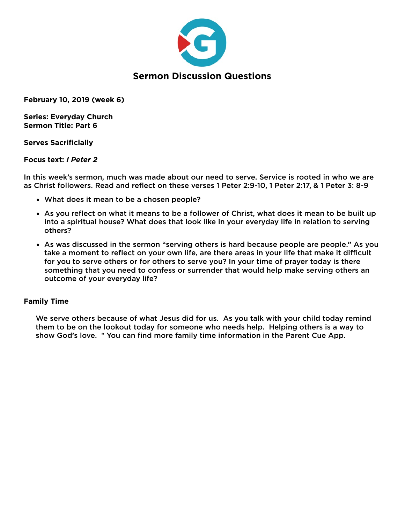

**February 10, 2019 (week 6)** 

**Series: Everyday Church Sermon Title: Part 6** 

### **Serves Sacrificially**

### **Focus text:** *I Peter 2*

In this week's sermon, much was made about our need to serve. Service is rooted in who we are as Christ followers. Read and reflect on these verses 1 Peter 2:9-10, 1 Peter 2:17, & 1 Peter 3: 8-9

- What does it mean to be a chosen people?
- As you reflect on what it means to be a follower of Christ, what does it mean to be built up into a spiritual house? What does that look like in your everyday life in relation to serving others?
- As was discussed in the sermon "serving others is hard because people are people." As you take a moment to reflect on your own life, are there areas in your life that make it difficult for you to serve others or for others to serve you? In your time of prayer today is there something that you need to confess or surrender that would help make serving others an outcome of your everyday life?

# **Family Time**

We serve others because of what Jesus did for us. As you talk with your child today remind them to be on the lookout today for someone who needs help. Helping others is a way to show God's love. \* You can find more family time information in the Parent Cue App.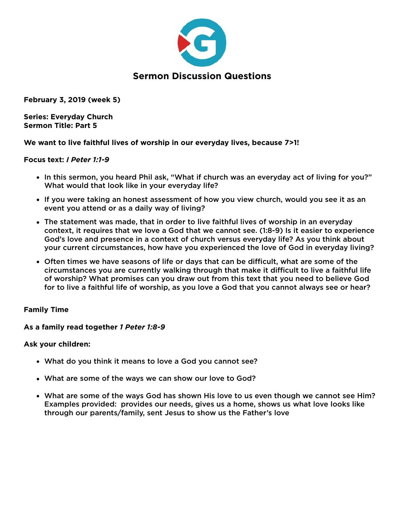

**February 3, 2019 (week 5)** 

**Series: Everyday Church Sermon Title: Part 5** 

## **We want to live faithful lives of worship in our everyday lives, because 7>1!**

### **Focus text:** *I Peter 1:1-9*

- In this sermon, you heard Phil ask, "What if church was an everyday act of living for you?" What would that look like in your everyday life?
- If you were taking an honest assessment of how you view church, would you see it as an event you attend or as a daily way of living?
- The statement was made, that in order to live faithful lives of worship in an everyday context, it requires that we love a God that we cannot see. (1:8-9) Is it easier to experience God's love and presence in a context of church versus everyday life? As you think about your current circumstances, how have you experienced the love of God in everyday living?
- Often times we have seasons of life or days that can be difficult, what are some of the circumstances you are currently walking through that make it difficult to live a faithful life of worship? What promises can you draw out from this text that you need to believe God for to live a faithful life of worship, as you love a God that you cannot always see or hear?

# **Family Time**

### **As a family read together** *1 Peter 1:8-9*

### **Ask your children:**

- What do you think it means to love a God you cannot see?
- What are some of the ways we can show our love to God?
- What are some of the ways God has shown His love to us even though we cannot see Him? Examples provided: provides our needs, gives us a home, shows us what love looks like through our parents/family, sent Jesus to show us the Father's love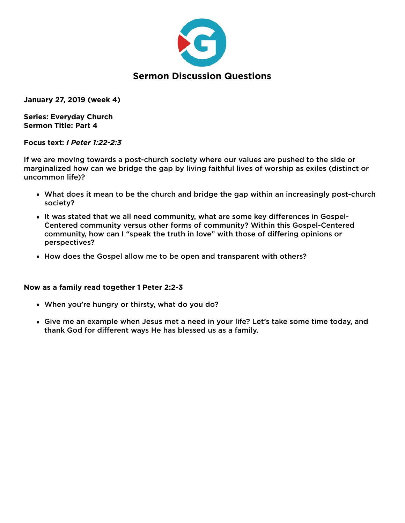

**January 27, 2019 (week 4)** 

**Series: Everyday Church Sermon Title: Part 4** 

#### **Focus text:** *I Peter 1:22-2:3*

If we are moving towards a post-church society where our values are pushed to the side or marginalized how can we bridge the gap by living faithful lives of worship as exiles (distinct or uncommon life)?

- What does it mean to be the church and bridge the gap within an increasingly post-church society?
- It was stated that we all need community, what are some key differences in Gospel-Centered community versus other forms of community? Within this Gospel-Centered community, how can I "speak the truth in love" with those of differing opinions or perspectives?
- How does the Gospel allow me to be open and transparent with others?

### **Now as a family read together 1 Peter 2:2-3**

- When you're hungry or thirsty, what do you do?
- Give me an example when Jesus met a need in your life? Let's take some time today, and thank God for different ways He has blessed us as a family.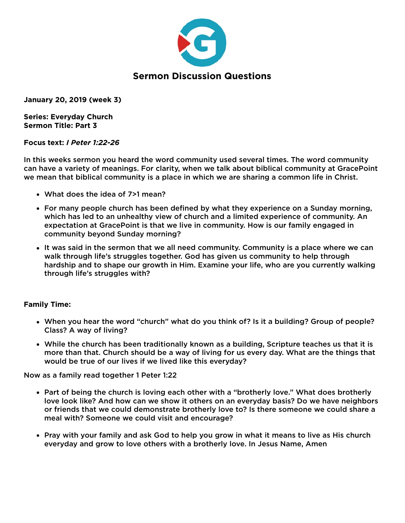

**January 20, 2019 (week 3)** 

**Series: Everyday Church Sermon Title: Part 3** 

## **Focus text:** *I Peter 1:22-26*

In this weeks sermon you heard the word community used several times. The word community can have a variety of meanings. For clarity, when we talk about biblical community at GracePoint we mean that biblical community is a place in which we are sharing a common life in Christ.

- What does the idea of 7>1 mean?
- For many people church has been defined by what they experience on a Sunday morning, which has led to an unhealthy view of church and a limited experience of community. An expectation at GracePoint is that we live in community. How is our family engaged in community beyond Sunday morning?
- It was said in the sermon that we all need community. Community is a place where we can walk through life's struggles together. God has given us community to help through hardship and to shape our growth in Him. Examine your life, who are you currently walking through life's struggles with?

# **Family Time:**

- When you hear the word "church" what do you think of? Is it a building? Group of people? Class? A way of living?
- While the church has been traditionally known as a building, Scripture teaches us that it is more than that. Church should be a way of living for us every day. What are the things that would be true of our lives if we lived like this everyday?

Now as a family read together 1 Peter 1:22

- Part of being the church is loving each other with a "brotherly love." What does brotherly love look like? And how can we show it others on an everyday basis? Do we have neighbors or friends that we could demonstrate brotherly love to? Is there someone we could share a meal with? Someone we could visit and encourage?
- Pray with your family and ask God to help you grow in what it means to live as His church everyday and grow to love others with a brotherly love. In Jesus Name, Amen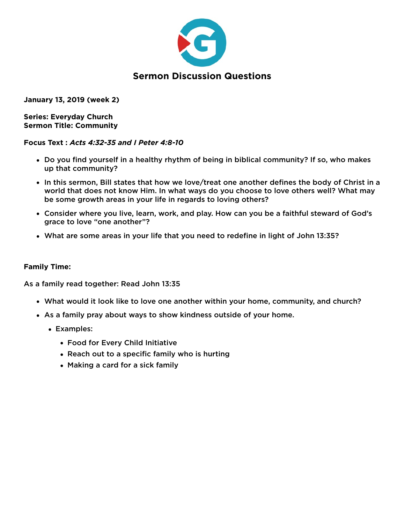

**January 13, 2019 (week 2)** 

**Series: Everyday Church Sermon Title: Community** 

## **Focus Text :** *Acts 4:32-35 and I Peter 4:8-10*

- Do you find yourself in a healthy rhythm of being in biblical community? If so, who makes up that community?
- In this sermon, Bill states that how we love/treat one another defines the body of Christ in a world that does not know Him. In what ways do you choose to love others well? What may be some growth areas in your life in regards to loving others?
- Consider where you live, learn, work, and play. How can you be a faithful steward of God's grace to love "one another"?
- What are some areas in your life that you need to redefine in light of John 13:35?

# **Family Time:**

As a family read together: Read John 13:35

- What would it look like to love one another within your home, community, and church?
- As a family pray about ways to show kindness outside of your home.
	- Examples:
		- Food for Every Child Initiative
		- Reach out to a specific family who is hurting
		- Making a card for a sick family